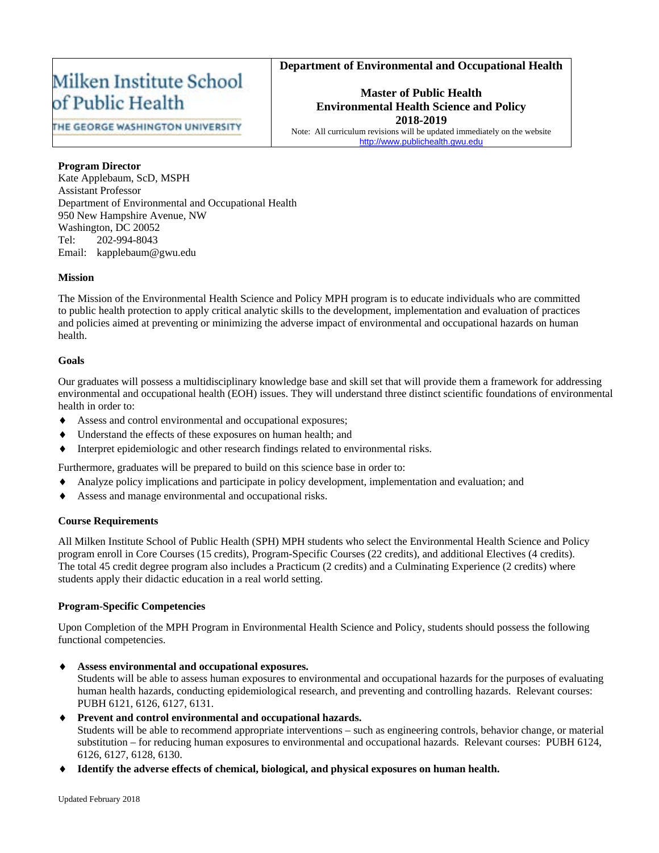# **Department of Environmental and Occupational Health**

# Milken Institute School of Public Health

**Master of Public Health Environmental Health Science and Policy 2018-2019**

THE GEORGE WASHINGTON UNIVERSITY

Note: All curriculum revisions will be updated immediately on the website [http://www.publichealth.gwu.edu](http://www.publichealth.gwu.edu/)

### **Program Director**

Kate Applebaum, ScD, MSPH Assistant Professor Department of Environmental and Occupational Health 950 New Hampshire Avenue, NW Washington, DC 20052 Tel: 202-994-8043 Email: kapplebaum@gwu.edu

### **Mission**

The Mission of the Environmental Health Science and Policy MPH program is to educate individuals who are committed to public health protection to apply critical analytic skills to the development, implementation and evaluation of practices and policies aimed at preventing or minimizing the adverse impact of environmental and occupational hazards on human health.

### **Goals**

Our graduates will possess a multidisciplinary knowledge base and skill set that will provide them a framework for addressing environmental and occupational health (EOH) issues. They will understand three distinct scientific foundations of environmental health in order to:

- Assess and control environmental and occupational exposures;
- Understand the effects of these exposures on human health; and
- Interpret epidemiologic and other research findings related to environmental risks.

Furthermore, graduates will be prepared to build on this science base in order to:

- Analyze policy implications and participate in policy development, implementation and evaluation; and
- Assess and manage environmental and occupational risks.

### **Course Requirements**

All Milken Institute School of Public Health (SPH) MPH students who select the Environmental Health Science and Policy program enroll in Core Courses (15 credits), Program-Specific Courses (22 credits), and additional Electives (4 credits). The total 45 credit degree program also includes a Practicum (2 credits) and a Culminating Experience (2 credits) where students apply their didactic education in a real world setting.

### **Program-Specific Competencies**

Upon Completion of the MPH Program in Environmental Health Science and Policy, students should possess the following functional competencies.

♦ **Assess environmental and occupational exposures.**

Students will be able to assess human exposures to environmental and occupational hazards for the purposes of evaluating human health hazards, conducting epidemiological research, and preventing and controlling hazards. Relevant courses: PUBH 6121, 6126, 6127, 6131.

♦ **Prevent and control environmental and occupational hazards.**

Students will be able to recommend appropriate interventions – such as engineering controls, behavior change, or material substitution – for reducing human exposures to environmental and occupational hazards. Relevant courses: PUBH 6124, 6126, 6127, 6128, 6130.

Identify the adverse effects of chemical, biological, and physical exposures on human health.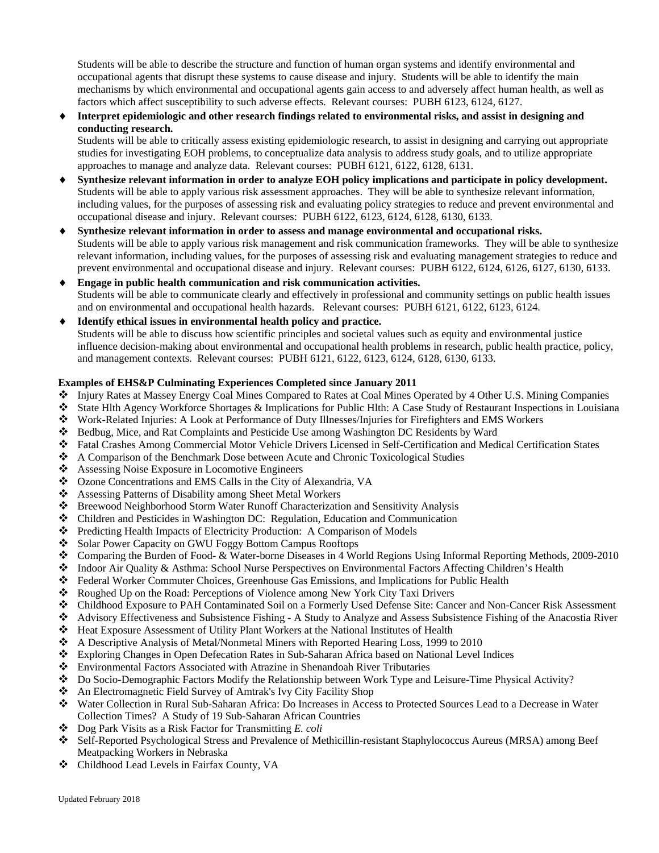Students will be able to describe the structure and function of human organ systems and identify environmental and occupational agents that disrupt these systems to cause disease and injury. Students will be able to identify the main mechanisms by which environmental and occupational agents gain access to and adversely affect human health, as well as factors which affect susceptibility to such adverse effects. Relevant courses: PUBH 6123, 6124, 6127.

Interpret epidemiologic and other research findings related to environmental risks, and assist in designing and **conducting research.**

Students will be able to critically assess existing epidemiologic research, to assist in designing and carrying out appropriate studies for investigating EOH problems, to conceptualize data analysis to address study goals, and to utilize appropriate approaches to manage and analyze data. Relevant courses: PUBH 6121, 6122, 6128, 6131.

- Synthesize relevant information in order to analyze EOH policy implications and participate in policy development. Students will be able to apply various risk assessment approaches. They will be able to synthesize relevant information, including values, for the purposes of assessing risk and evaluating policy strategies to reduce and prevent environmental and occupational disease and injury. Relevant courses: PUBH 6122, 6123, 6124, 6128, 6130, 6133.
- Synthesize relevant information in order to assess and manage environmental and occupational risks. Students will be able to apply various risk management and risk communication frameworks. They will be able to synthesize relevant information, including values, for the purposes of assessing risk and evaluating management strategies to reduce and prevent environmental and occupational disease and injury. Relevant courses: PUBH 6122, 6124, 6126, 6127, 6130, 6133.
- **Engage in public health communication and risk communication activities.** Students will be able to communicate clearly and effectively in professional and community settings on public health issues and on environmental and occupational health hazards. Relevant courses: PUBH 6121, 6122, 6123, 6124.
- ♦ **Identify ethical issues in environmental health policy and practice.** Students will be able to discuss how scientific principles and societal values such as equity and environmental justice influence decision-making about environmental and occupational health problems in research, public health practice, policy, and management contexts. Relevant courses: PUBH 6121, 6122, 6123, 6124, 6128, 6130, 6133.

#### **Examples of EHS&P Culminating Experiences Completed since January 2011**

- Injury Rates at Massey Energy Coal Mines Compared to Rates at Coal Mines Operated by 4 Other U.S. Mining Companies
- State Hlth Agency Workforce Shortages & Implications for Public Hlth: A Case Study of Restaurant Inspections in Louisiana<br>
Work-Related Injuries: A Look at Performance of Duty Illnesses/Injuries for Firefighters and EMS Wo
- Work-Related Injuries: A Look at Performance of Duty Illnesses/Injuries for Firefighters and EMS Workers
- Bedbug, Mice, and Rat Complaints and Pesticide Use among Washington DC Residents by Ward
- Fatal Crashes Among Commercial Motor Vehicle Drivers Licensed in Self-Certification and Medical Certification States
- A Comparison of the Benchmark Dose between Acute and Chronic Toxicological Studies
- ❖ Assessing Noise Exposure in Locomotive Engineers
- ❖ Ozone Concentrations and EMS Calls in the City of Alexandria, VA<br>❖ Assessing Patterns of Disability among Sheet Metal Workers
- Assessing Patterns of Disability among Sheet Metal Workers
- Breewood Neighborhood Storm Water Runoff Characterization and Sensitivity Analysis
- Children and Pesticides in Washington DC: Regulation, Education and Communication
- Predicting Health Impacts of Electricity Production: A Comparison of Models
- Solar Power Capacity on GWU Foggy Bottom Campus Rooftops
- Comparing the Burden of Food- & Water-borne Diseases in 4 World Regions Using Informal Reporting Methods, 2009-2010
- ◆ Indoor Air Quality & Asthma: School Nurse Perspectives on Environmental Factors Affecting Children's Health<br>◆ Federal Worker Commuter Choices. Greenhouse Gas Emissions, and Implications for Public Health
- $\bullet$  Federal Worker Commuter Choices, Greenhouse Gas Emissions, and Implications for Public Health  $\bullet$  Roughed Up on the Road: Perceptions of Violence among New York City Taxi Drivers
- Roughed Up on the Road: Perceptions of Violence among New York City Taxi Drivers
- Childhood Exposure to PAH Contaminated Soil on a Formerly Used Defense Site: Cancer and Non-Cancer Risk Assessment
- Advisory Effectiveness and Subsistence Fishing A Study to Analyze and Assess Subsistence Fishing of the Anacostia River<br>  $\bullet$  Heat Exposure Assessment of Utility Plant Workers at the National Institutes of Health
- Heat Exposure Assessment of Utility Plant Workers at the National Institutes of Health
- A Descriptive Analysis of Metal/Nonmetal Miners with Reported Hearing Loss, 1999 to 2010
- $\bullet$  Exploring Changes in Open Defecation Rates in Sub-Saharan Africa based on National Level Indices Environmental Factors Associated with Atrazine in Shenandoah River Tributaries
- Environmental Factors Associated with Atrazine in Shenandoah River Tributaries
- Do Socio-Demographic Factors Modify the Relationship between Work Type and Leisure-Time Physical Activity?
- $\triangle$  An Electromagnetic Field Survey of Amtrak's Ivy City Facility Shop  $\triangle$  Water Collection in Rural Sub-Sabaran Africa: Do Increases in Acces
- Water Collection in Rural Sub-Saharan Africa: Do Increases in Access to Protected Sources Lead to a Decrease in Water Collection Times? A Study of 19 Sub-Saharan African Countries
- Dog Park Visits as a Risk Factor for Transmitting *E. coli*
- Self-Reported Psychological Stress and Prevalence of Methicillin-resistant Staphylococcus Aureus (MRSA) among Beef Meatpacking Workers in Nebraska
- Childhood Lead Levels in Fairfax County, VA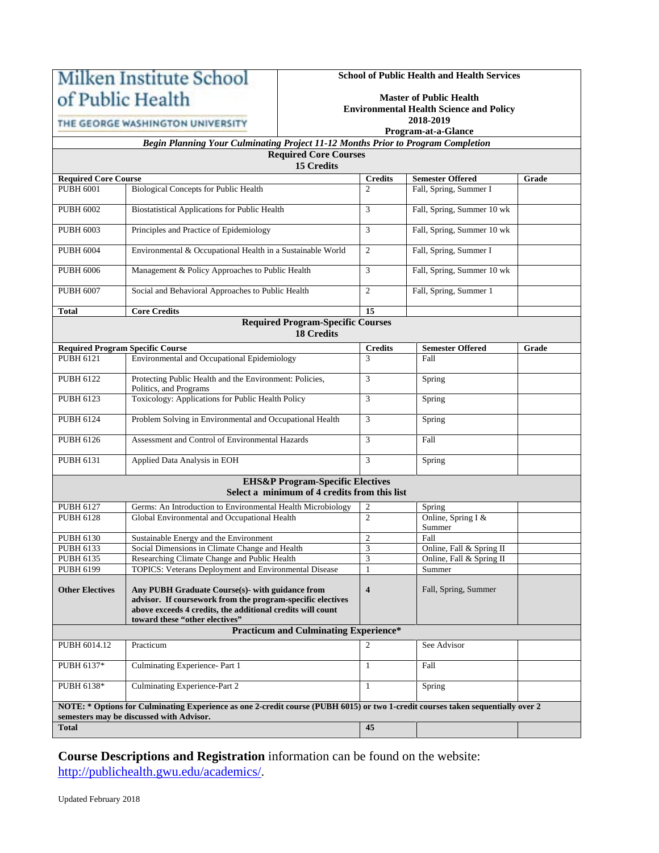# Milken Institute School of Public Health

**School of Public Health and Health Services**

THE GEORGE WASHINGTON UNIVERSITY

### **Master of Public Health Environmental Health Science and Policy 2018-2019**

**Program-at-a-Glance**

# *Begin Planning Your Culminating Project 11-12 Months Prior to Program Completion* **Required Core Courses**

| <b>15 Credits</b> |
|-------------------|
|-------------------|

|                                                                                                                                 | тэ степиз                                                                         |                         |                              |       |  |  |  |  |  |
|---------------------------------------------------------------------------------------------------------------------------------|-----------------------------------------------------------------------------------|-------------------------|------------------------------|-------|--|--|--|--|--|
| <b>Required Core Course</b>                                                                                                     |                                                                                   | <b>Credits</b>          | <b>Semester Offered</b>      | Grade |  |  |  |  |  |
| <b>PUBH 6001</b>                                                                                                                | <b>Biological Concepts for Public Health</b>                                      | $\mathfrak{D}$          | Fall, Spring, Summer I       |       |  |  |  |  |  |
|                                                                                                                                 |                                                                                   |                         |                              |       |  |  |  |  |  |
| <b>PUBH 6002</b>                                                                                                                | <b>Biostatistical Applications for Public Health</b>                              | 3                       | Fall, Spring, Summer 10 wk   |       |  |  |  |  |  |
|                                                                                                                                 |                                                                                   |                         |                              |       |  |  |  |  |  |
| <b>PUBH 6003</b>                                                                                                                | Principles and Practice of Epidemiology                                           | 3                       | Fall, Spring, Summer 10 wk   |       |  |  |  |  |  |
| <b>PUBH 6004</b>                                                                                                                | Environmental & Occupational Health in a Sustainable World                        | $\overline{2}$          | Fall, Spring, Summer I       |       |  |  |  |  |  |
|                                                                                                                                 |                                                                                   |                         |                              |       |  |  |  |  |  |
| <b>PUBH 6006</b>                                                                                                                | Management & Policy Approaches to Public Health                                   | 3                       | Fall, Spring, Summer 10 wk   |       |  |  |  |  |  |
|                                                                                                                                 |                                                                                   |                         |                              |       |  |  |  |  |  |
| <b>PUBH 6007</b>                                                                                                                | Social and Behavioral Approaches to Public Health                                 | 2                       | Fall, Spring, Summer 1       |       |  |  |  |  |  |
|                                                                                                                                 |                                                                                   |                         |                              |       |  |  |  |  |  |
| <b>Total</b>                                                                                                                    | <b>Core Credits</b>                                                               | 15                      |                              |       |  |  |  |  |  |
| <b>Required Program-Specific Courses</b>                                                                                        |                                                                                   |                         |                              |       |  |  |  |  |  |
|                                                                                                                                 | <b>18 Credits</b>                                                                 |                         |                              |       |  |  |  |  |  |
|                                                                                                                                 | <b>Required Program Specific Course</b>                                           | <b>Credits</b>          | <b>Semester Offered</b>      | Grade |  |  |  |  |  |
| <b>PUBH 6121</b>                                                                                                                | Environmental and Occupational Epidemiology                                       | 3                       | Fall                         |       |  |  |  |  |  |
|                                                                                                                                 |                                                                                   |                         |                              |       |  |  |  |  |  |
| <b>PUBH 6122</b>                                                                                                                | Protecting Public Health and the Environment: Policies,<br>Politics, and Programs | 3                       | Spring                       |       |  |  |  |  |  |
| <b>PUBH 6123</b>                                                                                                                | Toxicology: Applications for Public Health Policy                                 | 3                       | Spring                       |       |  |  |  |  |  |
|                                                                                                                                 |                                                                                   |                         |                              |       |  |  |  |  |  |
| PUBH 6124                                                                                                                       | Problem Solving in Environmental and Occupational Health                          | 3                       | Spring                       |       |  |  |  |  |  |
|                                                                                                                                 |                                                                                   |                         |                              |       |  |  |  |  |  |
| <b>PUBH 6126</b>                                                                                                                | Assessment and Control of Environmental Hazards                                   | 3                       | Fall                         |       |  |  |  |  |  |
|                                                                                                                                 |                                                                                   |                         |                              |       |  |  |  |  |  |
| PUBH 6131                                                                                                                       | Applied Data Analysis in EOH                                                      | 3                       | Spring                       |       |  |  |  |  |  |
|                                                                                                                                 | <b>EHS&amp;P Program-Specific Electives</b>                                       |                         |                              |       |  |  |  |  |  |
|                                                                                                                                 | Select a minimum of 4 credits from this list                                      |                         |                              |       |  |  |  |  |  |
|                                                                                                                                 |                                                                                   |                         |                              |       |  |  |  |  |  |
| <b>PUBH 6127</b>                                                                                                                | Germs: An Introduction to Environmental Health Microbiology                       | $\overline{2}$          | Spring                       |       |  |  |  |  |  |
| <b>PUBH 6128</b>                                                                                                                | Global Environmental and Occupational Health                                      | $\overline{2}$          | Online, Spring I &<br>Summer |       |  |  |  |  |  |
| PUBH 6130                                                                                                                       | Sustainable Energy and the Environment                                            | $\overline{c}$          | Fall                         |       |  |  |  |  |  |
| PUBH 6133                                                                                                                       | Social Dimensions in Climate Change and Health                                    | 3                       | Online, Fall & Spring II     |       |  |  |  |  |  |
| PUBH 6135                                                                                                                       | Researching Climate Change and Public Health                                      | 3                       | Online, Fall & Spring II     |       |  |  |  |  |  |
| <b>PUBH 6199</b>                                                                                                                | TOPICS: Veterans Deployment and Environmental Disease                             | $\mathbf{1}$            | Summer                       |       |  |  |  |  |  |
|                                                                                                                                 |                                                                                   |                         |                              |       |  |  |  |  |  |
| <b>Other Electives</b>                                                                                                          | Any PUBH Graduate Course(s)- with guidance from                                   | $\overline{\mathbf{4}}$ | Fall, Spring, Summer         |       |  |  |  |  |  |
|                                                                                                                                 | advisor. If coursework from the program-specific electives                        |                         |                              |       |  |  |  |  |  |
|                                                                                                                                 | above exceeds 4 credits, the additional credits will count                        |                         |                              |       |  |  |  |  |  |
|                                                                                                                                 | toward these "other electives"<br><b>Practicum and Culminating Experience*</b>    |                         |                              |       |  |  |  |  |  |
|                                                                                                                                 |                                                                                   |                         |                              |       |  |  |  |  |  |
| PUBH 6014.12                                                                                                                    | Practicum                                                                         | $\overline{2}$          | See Advisor                  |       |  |  |  |  |  |
| PUBH 6137*                                                                                                                      | Culminating Experience-Part 1                                                     |                         |                              |       |  |  |  |  |  |
|                                                                                                                                 |                                                                                   | $\mathbf{1}$            | Fall                         |       |  |  |  |  |  |
| PUBH 6138*                                                                                                                      | Culminating Experience-Part 2                                                     | 1                       | Spring                       |       |  |  |  |  |  |
|                                                                                                                                 |                                                                                   |                         |                              |       |  |  |  |  |  |
| NOTE: * Options for Culminating Experience as one 2-credit course (PUBH 6015) or two 1-credit courses taken sequentially over 2 |                                                                                   |                         |                              |       |  |  |  |  |  |
|                                                                                                                                 | semesters may be discussed with Advisor.                                          |                         |                              |       |  |  |  |  |  |
| <b>Total</b>                                                                                                                    |                                                                                   | 45                      |                              |       |  |  |  |  |  |
|                                                                                                                                 |                                                                                   |                         |                              |       |  |  |  |  |  |

**Course Descriptions and Registration** information can be found on the website: [http://publichealth.gwu.edu/academics/.](http://publichealth.gwu.edu/academics/)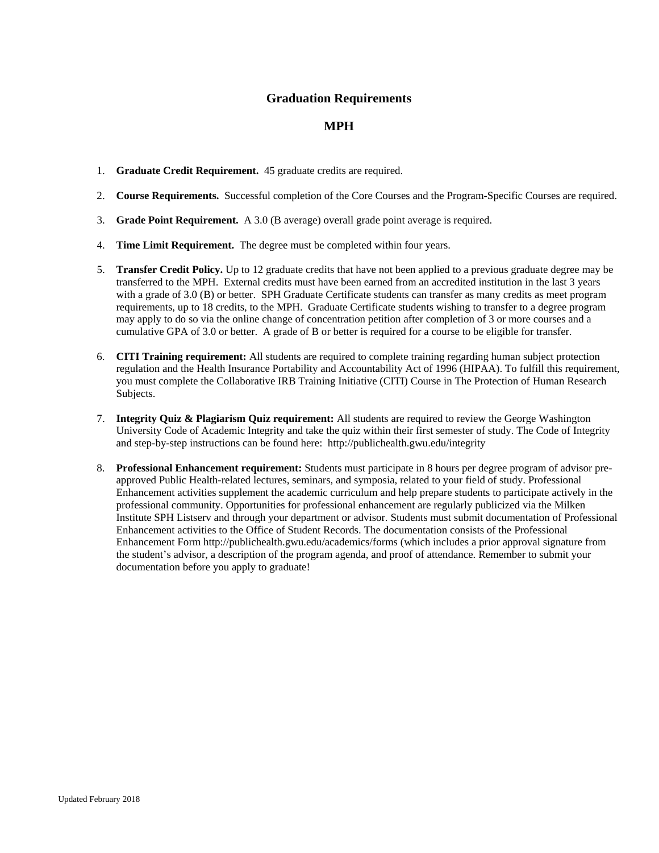# **Graduation Requirements**

# **MPH**

- 1. **Graduate Credit Requirement.** 45 graduate credits are required.
- 2. **Course Requirements.** Successful completion of the Core Courses and the Program-Specific Courses are required.
- 3. **Grade Point Requirement.** A 3.0 (B average) overall grade point average is required.
- 4. **Time Limit Requirement.** The degree must be completed within four years.
- 5. **Transfer Credit Policy.** Up to 12 graduate credits that have not been applied to a previous graduate degree may be transferred to the MPH. External credits must have been earned from an accredited institution in the last 3 years with a grade of 3.0 (B) or better. SPH Graduate Certificate students can transfer as many credits as meet program requirements, up to 18 credits, to the MPH. Graduate Certificate students wishing to transfer to a degree program may apply to do so via the online change of concentration petition after completion of 3 or more courses and a cumulative GPA of 3.0 or better. A grade of B or better is required for a course to be eligible for transfer.
- 6. **CITI Training requirement:** All students are required to complete training regarding human subject protection regulation and the Health Insurance Portability and Accountability Act of 1996 (HIPAA). To fulfill this requirement, you must complete the Collaborative IRB Training Initiative (CITI) Course in The Protection of Human Research Subjects.
- 7. **Integrity Quiz & Plagiarism Quiz requirement:** All students are required to review the George Washington University Code of Academic Integrity and take the quiz within their first semester of study. The Code of Integrity and step-by-step instructions can be found here: http://publichealth.gwu.edu/integrity
- 8. **Professional Enhancement requirement:** Students must participate in 8 hours per degree program of advisor preapproved Public Health-related lectures, seminars, and symposia, related to your field of study. Professional Enhancement activities supplement the academic curriculum and help prepare students to participate actively in the professional community. Opportunities for professional enhancement are regularly publicized via the Milken Institute SPH Listserv and through your department or advisor. Students must submit documentation of Professional Enhancement activities to the Office of Student Records. The documentation consists of the Professional Enhancement Form http://publichealth.gwu.edu/academics/forms (which includes a prior approval signature from the student's advisor, a description of the program agenda, and proof of attendance. Remember to submit your documentation before you apply to graduate!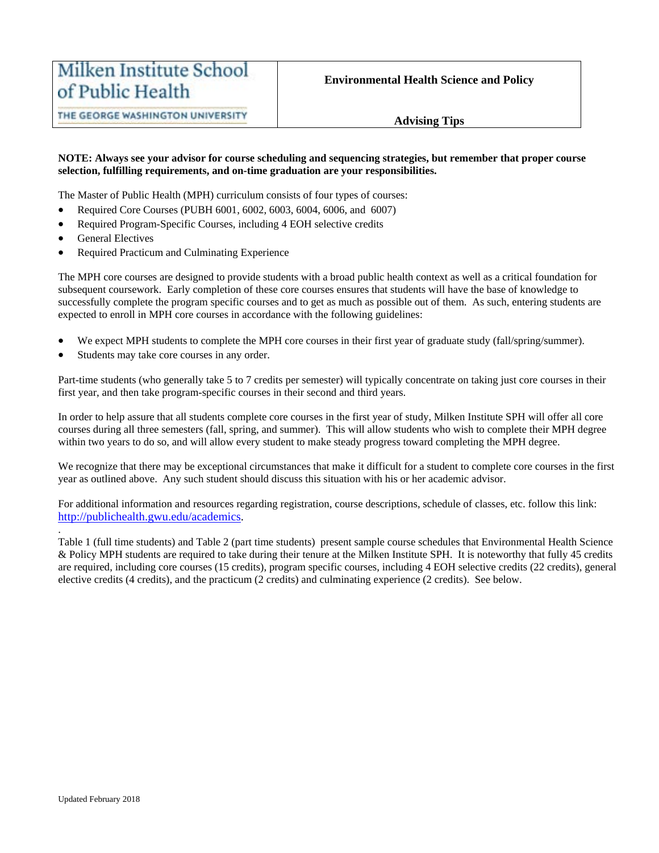# **Advising Tips**

#### **NOTE: Always see your advisor for course scheduling and sequencing strategies, but remember that proper course selection, fulfilling requirements, and on-time graduation are your responsibilities.**

The Master of Public Health (MPH) curriculum consists of four types of courses:

- Required Core Courses (PUBH 6001, 6002, 6003, 6004, 6006, and 6007)
- Required Program-Specific Courses, including 4 EOH selective credits
- General Electives
- Required Practicum and Culminating Experience

The MPH core courses are designed to provide students with a broad public health context as well as a critical foundation for subsequent coursework. Early completion of these core courses ensures that students will have the base of knowledge to successfully complete the program specific courses and to get as much as possible out of them. As such, entering students are expected to enroll in MPH core courses in accordance with the following guidelines:

- We expect MPH students to complete the MPH core courses in their first year of graduate study (fall/spring/summer).
- Students may take core courses in any order.

Part-time students (who generally take 5 to 7 credits per semester) will typically concentrate on taking just core courses in their first year, and then take program-specific courses in their second and third years.

In order to help assure that all students complete core courses in the first year of study, Milken Institute SPH will offer all core courses during all three semesters (fall, spring, and summer). This will allow students who wish to complete their MPH degree within two years to do so, and will allow every student to make steady progress toward completing the MPH degree.

We recognize that there may be exceptional circumstances that make it difficult for a student to complete core courses in the first year as outlined above. Any such student should discuss this situation with his or her academic advisor.

For additional information and resources regarding registration, course descriptions, schedule of classes, etc. follow this link: [http://publichealth.gwu.edu/academics.](http://publichealth.gwu.edu/academics)

Table 1 (full time students) and Table 2 (part time students) present sample course schedules that Environmental Health Science & Policy MPH students are required to take during their tenure at the Milken Institute SPH. It is noteworthy that fully 45 credits are required, including core courses (15 credits), program specific courses, including 4 EOH selective credits (22 credits), general elective credits (4 credits), and the practicum (2 credits) and culminating experience (2 credits). See below.

.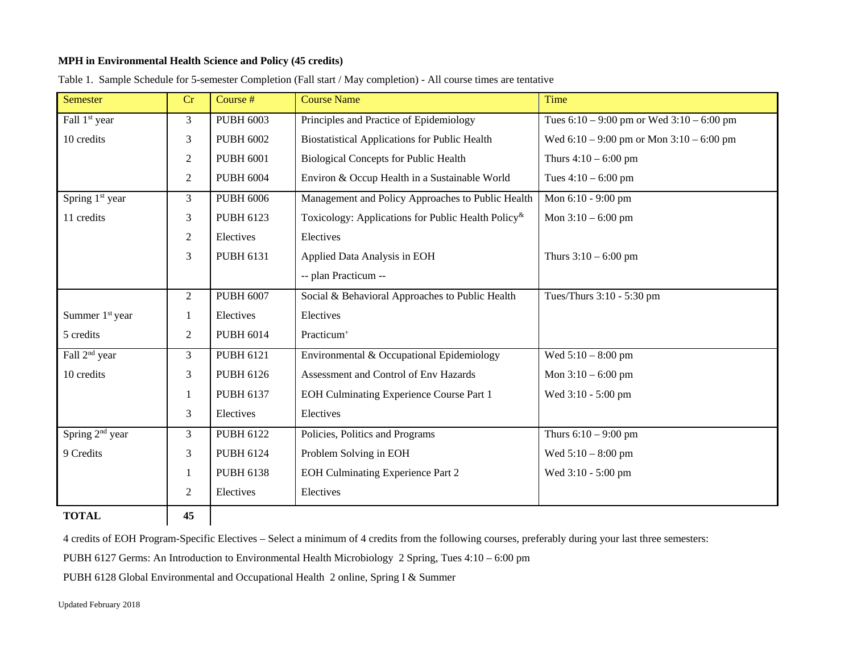## **MPH in Environmental Health Science and Policy (45 credits)**

| <b>Semester</b>             | Cr               | Course #         | <b>Course Name</b>                                                 | Time                                          |  |
|-----------------------------|------------------|------------------|--------------------------------------------------------------------|-----------------------------------------------|--|
| Fall 1 <sup>st</sup> year   | 3                | <b>PUBH 6003</b> | Principles and Practice of Epidemiology                            | Tues $6:10 - 9:00$ pm or Wed $3:10 - 6:00$ pm |  |
| 10 credits                  | 3                | <b>PUBH 6002</b> | <b>Biostatistical Applications for Public Health</b>               | Wed $6:10 - 9:00$ pm or Mon $3:10 - 6:00$ pm  |  |
|                             | $\boldsymbol{2}$ | <b>PUBH 6001</b> | <b>Biological Concepts for Public Health</b>                       | Thurs $4:10 - 6:00$ pm                        |  |
|                             | 2                | <b>PUBH 6004</b> | Environ & Occup Health in a Sustainable World                      | Tues $4:10 - 6:00$ pm                         |  |
| Spring 1 <sup>st</sup> year | 3                | <b>PUBH 6006</b> | Management and Policy Approaches to Public Health                  | Mon 6:10 - 9:00 pm                            |  |
| 11 credits                  | 3                | <b>PUBH 6123</b> | Toxicology: Applications for Public Health Policy <sup>&amp;</sup> | Mon $3:10 - 6:00$ pm                          |  |
|                             | $\overline{2}$   | Electives        | Electives                                                          |                                               |  |
|                             | 3                | PUBH 6131        | Applied Data Analysis in EOH                                       | Thurs $3:10 - 6:00$ pm                        |  |
|                             |                  |                  | -- plan Practicum --                                               |                                               |  |
|                             | $\overline{2}$   | <b>PUBH 6007</b> | Social & Behavioral Approaches to Public Health                    | Tues/Thurs 3:10 - 5:30 pm                     |  |
| Summer 1 <sup>st</sup> year | 1                | Electives        | Electives                                                          |                                               |  |
| 5 credits                   | 2                | <b>PUBH 6014</b> | Practicum <sup>+</sup>                                             |                                               |  |
| Fall 2 <sup>nd</sup> year   | 3                | <b>PUBH 6121</b> | Environmental & Occupational Epidemiology                          | Wed $5:10 - 8:00$ pm                          |  |
| 10 credits                  | 3                | <b>PUBH 6126</b> | Assessment and Control of Env Hazards                              | Mon $3:10 - 6:00$ pm                          |  |
|                             | 1                | PUBH 6137        | EOH Culminating Experience Course Part 1                           | Wed 3:10 - 5:00 pm                            |  |
|                             | 3                | Electives        | Electives                                                          |                                               |  |
| Spring $2nd$ year           | 3                | <b>PUBH 6122</b> | Policies, Politics and Programs                                    | Thurs $6:10 - 9:00$ pm                        |  |
| 9 Credits                   | 3                | <b>PUBH 6124</b> | Problem Solving in EOH                                             | Wed $5:10 - 8:00$ pm                          |  |
|                             | 1                | <b>PUBH 6138</b> | <b>EOH Culminating Experience Part 2</b>                           | Wed 3:10 - 5:00 pm                            |  |
|                             | 2                | Electives        | Electives                                                          |                                               |  |
| <b>TOTAL</b>                | 45               |                  |                                                                    |                                               |  |

Table 1. Sample Schedule for 5-semester Completion (Fall start / May completion) - All course times are tentative

4 credits of EOH Program-Specific Electives – Select a minimum of 4 credits from the following courses, preferably during your last three semesters:

PUBH 6127 Germs: An Introduction to Environmental Health Microbiology 2 Spring, Tues 4:10 – 6:00 pm

PUBH 6128 Global Environmental and Occupational Health 2 online, Spring I & Summer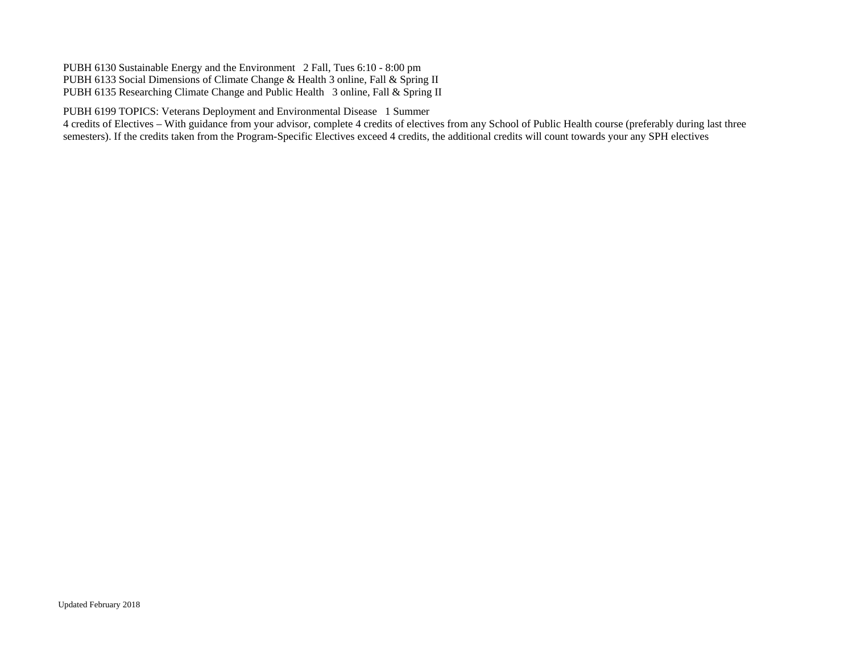PUBH 6130 Sustainable Energy and the Environment 2 Fall, Tues 6:10 - 8:00 pm PUBH 6133 Social Dimensions of Climate Change & Health 3 online, Fall & Spring II PUBH 6135 Researching Climate Change and Public Health 3 online, Fall & Spring II

PUBH 6199 TOPICS: Veterans Deployment and Environmental Disease 1 Summer

4 credits of Electives – With guidance from your advisor, complete 4 credits of electives from any School of Public Health course (preferably during last three semesters). If the credits taken from the Program-Specific Electives exceed 4 credits, the additional credits will count towards your any SPH electives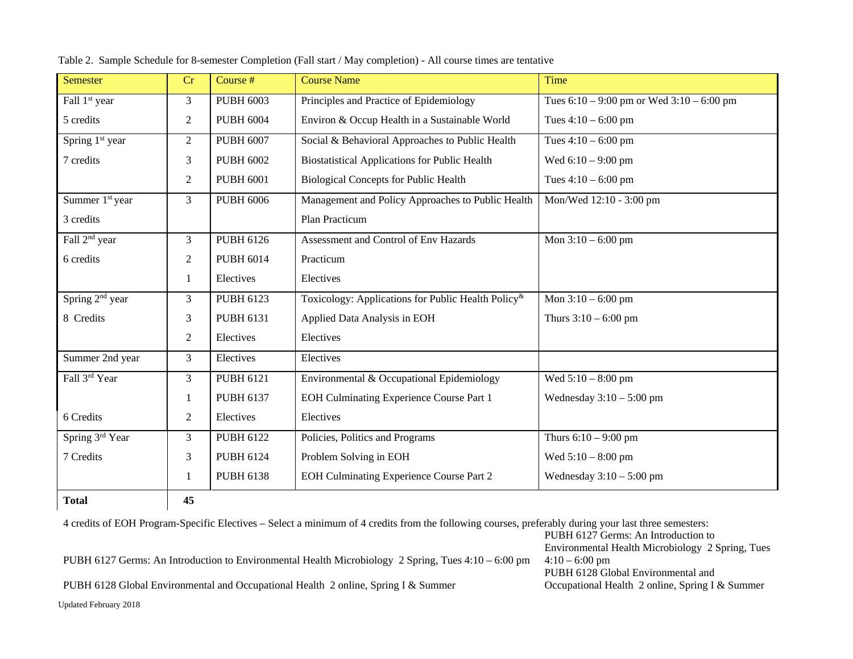| <b>Semester</b>             | Cr             | Course #         | <b>Course Name</b>                                                 | Time                                          |
|-----------------------------|----------------|------------------|--------------------------------------------------------------------|-----------------------------------------------|
| Fall 1 <sup>st</sup> year   | 3              | <b>PUBH 6003</b> | Principles and Practice of Epidemiology                            | Tues $6:10 - 9:00$ pm or Wed $3:10 - 6:00$ pm |
| 5 credits                   | 2              | <b>PUBH 6004</b> | Environ & Occup Health in a Sustainable World                      | Tues $4:10 - 6:00$ pm                         |
| Spring 1 <sup>st</sup> year | $\overline{2}$ | <b>PUBH 6007</b> | Social & Behavioral Approaches to Public Health                    | Tues $4:10 - 6:00$ pm                         |
| 7 credits                   | 3              | <b>PUBH 6002</b> | <b>Biostatistical Applications for Public Health</b>               | Wed $6:10 - 9:00$ pm                          |
|                             | 2              | <b>PUBH 6001</b> | <b>Biological Concepts for Public Health</b>                       | Tues $4:10 - 6:00$ pm                         |
| Summer 1 <sup>st</sup> year | 3              | <b>PUBH 6006</b> | Management and Policy Approaches to Public Health                  | Mon/Wed 12:10 - 3:00 pm                       |
| 3 credits                   |                |                  | Plan Practicum                                                     |                                               |
| Fall 2 <sup>nd</sup> year   | 3              | <b>PUBH 6126</b> | Assessment and Control of Env Hazards                              | Mon $3:10 - 6:00$ pm                          |
| 6 credits                   | $\overline{2}$ | <b>PUBH 6014</b> | Practicum                                                          |                                               |
|                             | 1              | Electives        | Electives                                                          |                                               |
| Spring 2 <sup>nd</sup> year | 3              | <b>PUBH 6123</b> | Toxicology: Applications for Public Health Policy <sup>&amp;</sup> | Mon $3:10 - 6:00$ pm                          |
| 8 Credits                   | 3              | <b>PUBH 6131</b> | Applied Data Analysis in EOH                                       | Thurs $3:10 - 6:00$ pm                        |
|                             | 2              | Electives        | Electives                                                          |                                               |
| Summer 2nd year             | 3              | Electives        | Electives                                                          |                                               |
| Fall 3rd Year               | $\mathfrak{Z}$ | <b>PUBH 6121</b> | Environmental & Occupational Epidemiology                          | Wed $5:10 - 8:00$ pm                          |
|                             | 1              | <b>PUBH 6137</b> | EOH Culminating Experience Course Part 1                           | Wednesday $3:10-5:00$ pm                      |
| 6 Credits                   | 2              | Electives        | Electives                                                          |                                               |
| Spring 3rd Year             | $\mathfrak{Z}$ | <b>PUBH 6122</b> | Policies, Politics and Programs                                    | Thurs $6:10 - 9:00$ pm                        |
| 7 Credits                   | 3              | <b>PUBH 6124</b> | Problem Solving in EOH                                             | Wed $5:10 - 8:00$ pm                          |
|                             |                | <b>PUBH 6138</b> | EOH Culminating Experience Course Part 2                           | Wednesday $3:10-5:00$ pm                      |
| <b>Total</b>                | 45             |                  |                                                                    |                                               |

Table 2. Sample Schedule for 8-semester Completion (Fall start / May completion) - All course times are tentative

Updated February 2018 4 credits of EOH Program-Specific Electives – Select a minimum of 4 credits from the following courses, preferably during your last three semesters: PUBH 6127 Germs: An Introduction to Environmental Health Microbiology 2 Spring, Tues 4:10 – 6:00 pm PUBH 6127 Germs: An Introduction to Environmental Health Microbiology 2 Spring, Tues  $4:10 - 6:00$  pm PUBH 6128 Global Environmental and Occupational Health 2 online, Spring I & Summer PUBH 6128 Global Environmental and Occupational Health 2 online, Spring I & Summer